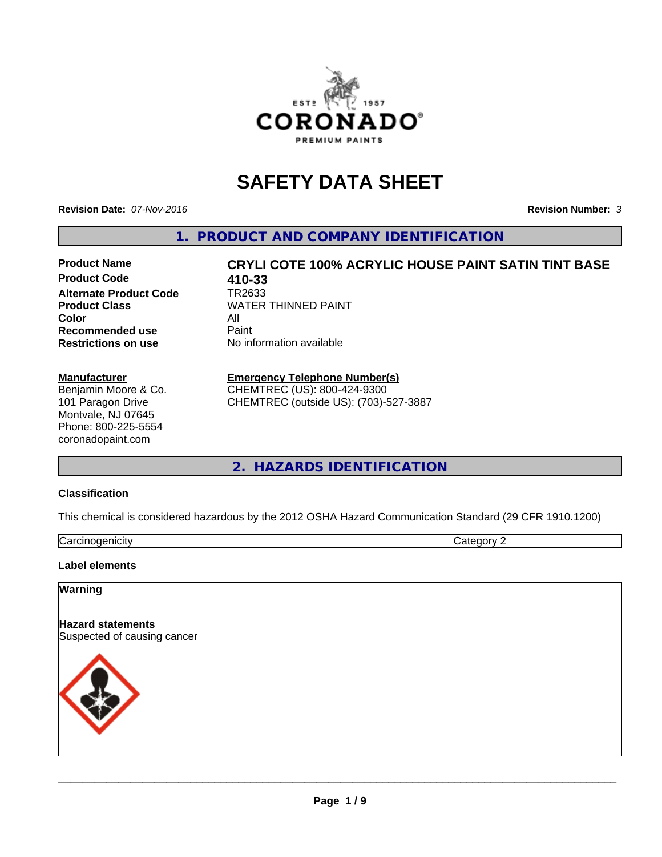

# **SAFETY DATA SHEET**

**Revision Date:** *07-Nov-2016* **Revision Number:** *3*

**1. PRODUCT AND COMPANY IDENTIFICATION**

**Product Code 410-33 Alternate Product Code Product Class** WATER THINNED PAINT<br>
Color **Color** All<br> **Recommended use** Paint **Recommended use Restrictions on use** No information available

# **Product Name CRYLI COTE 100% ACRYLIC HOUSE PAINT SATIN TINT BASE**

#### **Manufacturer**

Benjamin Moore & Co. 101 Paragon Drive Montvale, NJ 07645 Phone: 800-225-5554 coronadopaint.com

# **Emergency Telephone Number(s)**

CHEMTREC (US): 800-424-9300 CHEMTREC (outside US): (703)-527-3887

**2. HAZARDS IDENTIFICATION**

#### **Classification**

This chemical is considered hazardous by the 2012 OSHA Hazard Communication Standard (29 CFR 1910.1200)

| ∽<br>$\sim$<br>enicity<br>∪di | $\sim$<br>.<br>. |
|-------------------------------|------------------|

#### **Label elements**

# **Warning**

**Hazard statements** Suspected of causing cancer

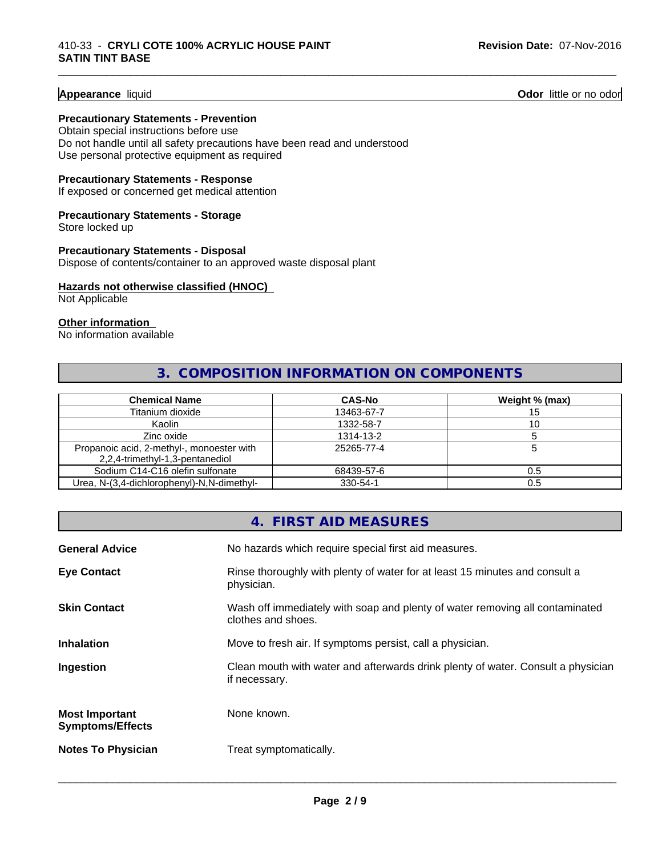#### **Appearance** liquid **Contract Contract Contract Contract Contract Contract Contract Contract Contract Contract Contract Contract Contract Contract Contract Contract Contract Contract Contract Contract Contract Contract Con**

#### **Precautionary Statements - Prevention**

Obtain special instructions before use Do not handle until all safety precautions have been read and understood Use personal protective equipment as required

#### **Precautionary Statements - Response**

If exposed or concerned get medical attention

#### **Precautionary Statements - Storage**

Store locked up

#### **Precautionary Statements - Disposal**

Dispose of contents/container to an approved waste disposal plant

#### **Hazards not otherwise classified (HNOC)**

Not Applicable

#### **Other information**

No information available

# **3. COMPOSITION INFORMATION ON COMPONENTS**

\_\_\_\_\_\_\_\_\_\_\_\_\_\_\_\_\_\_\_\_\_\_\_\_\_\_\_\_\_\_\_\_\_\_\_\_\_\_\_\_\_\_\_\_\_\_\_\_\_\_\_\_\_\_\_\_\_\_\_\_\_\_\_\_\_\_\_\_\_\_\_\_\_\_\_\_\_\_\_\_\_\_\_\_\_\_\_\_\_\_\_\_\_

| <b>Chemical Name</b>                                                         | <b>CAS-No</b> | Weight % (max) |
|------------------------------------------------------------------------------|---------------|----------------|
| Titanium dioxide                                                             | 13463-67-7    |                |
| Kaolin                                                                       | 1332-58-7     |                |
| Zinc oxide                                                                   | 1314-13-2     |                |
| Propanoic acid, 2-methyl-, monoester with<br>2,2,4-trimethyl-1,3-pentanediol | 25265-77-4    |                |
| Sodium C14-C16 olefin sulfonate                                              | 68439-57-6    | 0.5            |
| Urea, N-(3,4-dichlorophenyl)-N,N-dimethyl-                                   | 330-54-1      | 0.5            |

# **4. FIRST AID MEASURES General Advice** No hazards which require special first aid measures. **Eye Contact Rinse thoroughly with plenty of water for at least 15 minutes and consult a** physician. **Skin Contact** Wash off immediately with soap and plenty of water removing all contaminated clothes and shoes. **Inhalation** Move to fresh air. If symptoms persist, call a physician. **Ingestion Exame Clean mouth with water and afterwards drink plenty of water. Consult a physician** if necessary. **Most Important Symptoms/Effects** None known. **Notes To Physician** Treat symptomatically.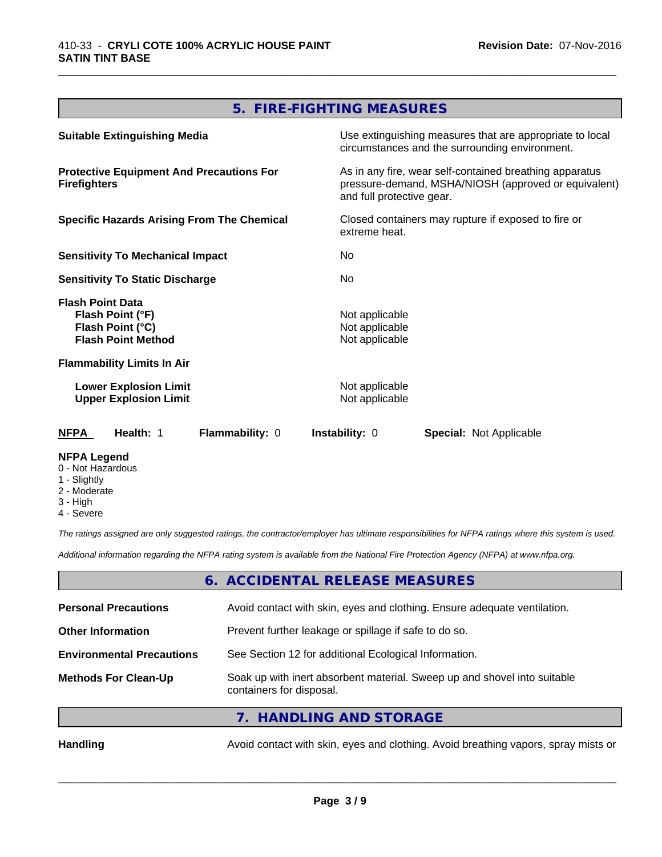# **5. FIRE-FIGHTING MEASURES**

\_\_\_\_\_\_\_\_\_\_\_\_\_\_\_\_\_\_\_\_\_\_\_\_\_\_\_\_\_\_\_\_\_\_\_\_\_\_\_\_\_\_\_\_\_\_\_\_\_\_\_\_\_\_\_\_\_\_\_\_\_\_\_\_\_\_\_\_\_\_\_\_\_\_\_\_\_\_\_\_\_\_\_\_\_\_\_\_\_\_\_\_\_

| <b>Suitable Extinguishing Media</b>                                                          | Use extinguishing measures that are appropriate to local<br>circumstances and the surrounding environment.                                   |
|----------------------------------------------------------------------------------------------|----------------------------------------------------------------------------------------------------------------------------------------------|
| <b>Protective Equipment And Precautions For</b><br><b>Firefighters</b>                       | As in any fire, wear self-contained breathing apparatus<br>pressure-demand, MSHA/NIOSH (approved or equivalent)<br>and full protective gear. |
| <b>Specific Hazards Arising From The Chemical</b>                                            | Closed containers may rupture if exposed to fire or<br>extreme heat.                                                                         |
| <b>Sensitivity To Mechanical Impact</b>                                                      | No.                                                                                                                                          |
| <b>Sensitivity To Static Discharge</b>                                                       | No.                                                                                                                                          |
| <b>Flash Point Data</b><br>Flash Point (°F)<br>Flash Point (°C)<br><b>Flash Point Method</b> | Not applicable<br>Not applicable<br>Not applicable                                                                                           |
| <b>Flammability Limits In Air</b>                                                            |                                                                                                                                              |
| <b>Lower Explosion Limit</b><br><b>Upper Explosion Limit</b>                                 | Not applicable<br>Not applicable                                                                                                             |
| Health: 1<br><b>NFPA</b><br>Flammability: 0                                                  | <b>Instability: 0</b><br><b>Special: Not Applicable</b>                                                                                      |
| <b>NFPA Legend</b><br>0 - Not Hazardous<br>1 - Slightly                                      |                                                                                                                                              |

- 
- 2 Moderate
- 3 High
- 4 Severe

*The ratings assigned are only suggested ratings, the contractor/employer has ultimate responsibilities for NFPA ratings where this system is used.*

*Additional information regarding the NFPA rating system is available from the National Fire Protection Agency (NFPA) at www.nfpa.org.*

#### **6. ACCIDENTAL RELEASE MEASURES**

| <b>Personal Precautions</b>      | Avoid contact with skin, eyes and clothing. Ensure adequate ventilation.                             |
|----------------------------------|------------------------------------------------------------------------------------------------------|
| <b>Other Information</b>         | Prevent further leakage or spillage if safe to do so.                                                |
| <b>Environmental Precautions</b> | See Section 12 for additional Ecological Information.                                                |
| <b>Methods For Clean-Up</b>      | Soak up with inert absorbent material. Sweep up and shovel into suitable<br>containers for disposal. |
|                                  | 7. HANDLING AND STORAGE                                                                              |
|                                  |                                                                                                      |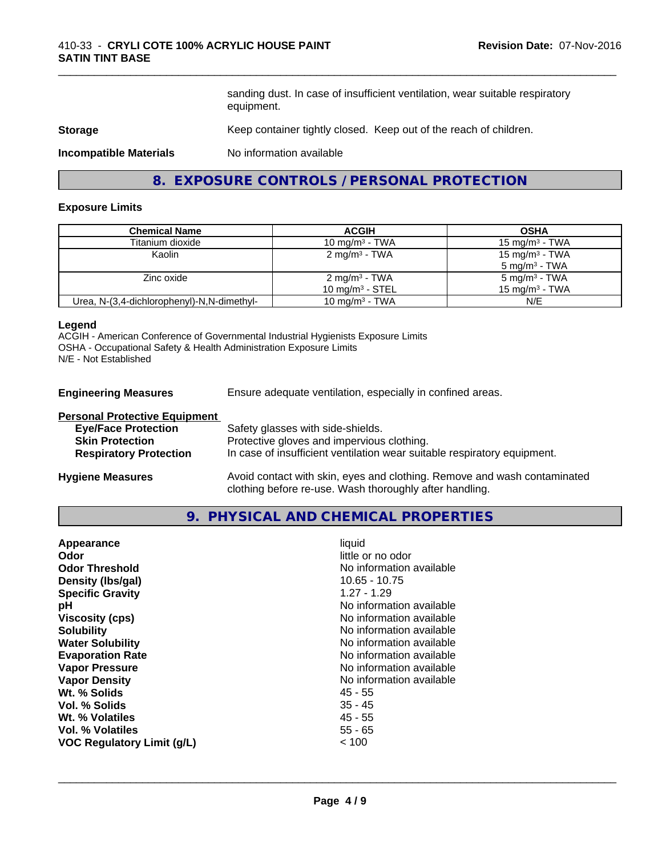sanding dust. In case of insufficient ventilation, wear suitable respiratory equipment.

\_\_\_\_\_\_\_\_\_\_\_\_\_\_\_\_\_\_\_\_\_\_\_\_\_\_\_\_\_\_\_\_\_\_\_\_\_\_\_\_\_\_\_\_\_\_\_\_\_\_\_\_\_\_\_\_\_\_\_\_\_\_\_\_\_\_\_\_\_\_\_\_\_\_\_\_\_\_\_\_\_\_\_\_\_\_\_\_\_\_\_\_\_

#### **Storage** Keep container tightly closed. Keep out of the reach of children.

**Incompatible Materials** No information available

# **8. EXPOSURE CONTROLS / PERSONAL PROTECTION**

#### **Exposure Limits**

| <b>Chemical Name</b>                       | <b>ACGIH</b>               | <b>OSHA</b>              |
|--------------------------------------------|----------------------------|--------------------------|
| Titanium dioxide                           | 10 mg/m $3$ - TWA          | 15 mg/m $3$ - TWA        |
| Kaolin                                     | $2 \text{ mg/m}^3$ - TWA   | 15 mg/m $3$ - TWA        |
|                                            |                            | $5 \text{ mg/m}^3$ - TWA |
| Zinc oxide                                 | $2 \text{ mg/m}^3$ - TWA   | $5 \text{ mg/m}^3$ - TWA |
|                                            | 10 mg/m $3$ - STEL         | 15 mg/m $3$ - TWA        |
| Urea, N-(3,4-dichlorophenyl)-N,N-dimethyl- | 10 mg/m <sup>3</sup> - TWA | N/E                      |

#### **Legend**

ACGIH - American Conference of Governmental Industrial Hygienists Exposure Limits OSHA - Occupational Safety & Health Administration Exposure Limits N/E - Not Established

**Engineering Measures** Ensure adequate ventilation, especially in confined areas.

| <b>Personal Protective Equipment</b> |                                                                                                                                     |
|--------------------------------------|-------------------------------------------------------------------------------------------------------------------------------------|
| <b>Eye/Face Protection</b>           | Safety glasses with side-shields.                                                                                                   |
| <b>Skin Protection</b>               | Protective gloves and impervious clothing.                                                                                          |
| <b>Respiratory Protection</b>        | In case of insufficient ventilation wear suitable respiratory equipment.                                                            |
| <b>Hygiene Measures</b>              | Avoid contact with skin, eyes and clothing. Remove and wash contaminated<br>clothing before re-use. Wash thoroughly after handling. |

#### **9. PHYSICAL AND CHEMICAL PROPERTIES**

| No information available<br>рH<br>No information available<br><b>Viscosity (cps)</b><br><b>Solubility</b><br>No information available<br>No information available<br><b>Water Solubility</b><br>No information available<br><b>Evaporation Rate</b><br><b>Vapor Pressure</b><br>No information available<br>No information available<br><b>Vapor Density</b><br>Wt. % Solids<br>45 - 55<br>Vol. % Solids<br>$35 - 45$<br>$45 - 55$<br>Wt. % Volatiles<br>$55 - 65$<br>Vol. % Volatiles<br>VOC Regulatory Limit (g/L)<br>< 100 | Appearance<br>Odor<br><b>Odor Threshold</b><br>Density (Ibs/gal)<br><b>Specific Gravity</b> | liquid<br>little or no odor<br>No information available<br>10.65 - 10.75<br>$1.27 - 1.29$ |
|-------------------------------------------------------------------------------------------------------------------------------------------------------------------------------------------------------------------------------------------------------------------------------------------------------------------------------------------------------------------------------------------------------------------------------------------------------------------------------------------------------------------------------|---------------------------------------------------------------------------------------------|-------------------------------------------------------------------------------------------|
|-------------------------------------------------------------------------------------------------------------------------------------------------------------------------------------------------------------------------------------------------------------------------------------------------------------------------------------------------------------------------------------------------------------------------------------------------------------------------------------------------------------------------------|---------------------------------------------------------------------------------------------|-------------------------------------------------------------------------------------------|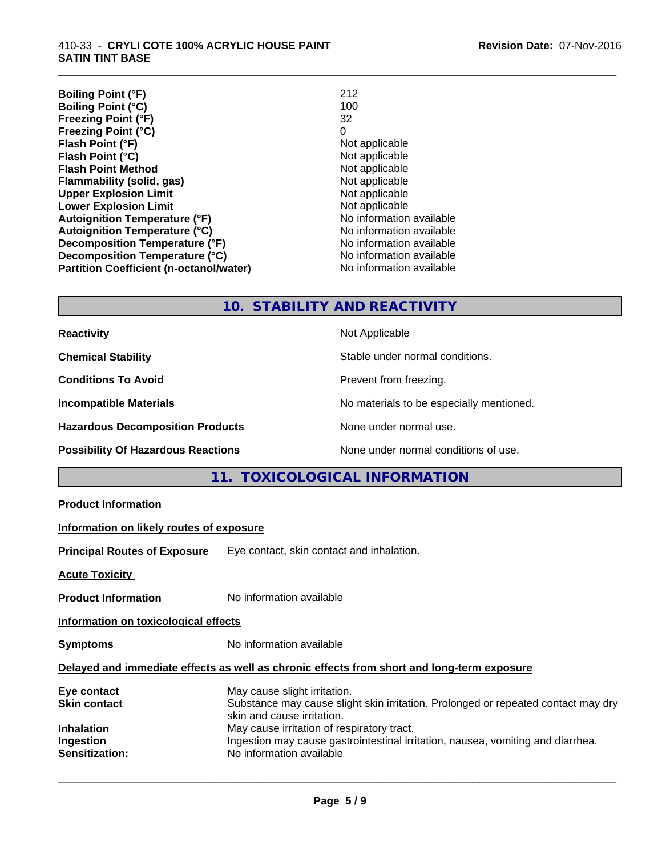#### 410-33 - **CRYLI COTE 100% ACRYLIC HOUSE PAINT SATIN TINT BASE**

**Boiling Point (°F)** 212 **Boiling Point (°C)** 100<br>**Freezing Point (°F)** 32 **Freezing Point (°F)** 32 **Freezing Point (°C)** 0 **Flash Point (°F)**<br> **Flash Point (°C)**<br> **Flash Point (°C)**<br> **C** Not applicable **Flash Point (°C) Flash Point Method**<br> **Flammability (solid, gas)**<br>
Not applicable<br>
Not applicable **Flammability (solid, gas)** Not applicable Not applicable<br> **Upper Explosion Limit** Not applicable **Upper Explosion Limit Lower Explosion Limit**<br> **Autoignition Temperature (°F)**<br> **Autoignition Temperature (°F)**<br> **Autoignition Temperature (°F)**<br> **Autoignition Temperature (°F) Autoignition Temperature (°F) Autoignition Temperature (°C)** No information available **Decomposition Temperature (°F)**<br> **Decomposition Temperature (°C)** No information available<br>
No information available **Decomposition Temperature (°C) Partition Coefficient (n-octanol/water)** No information available

\_\_\_\_\_\_\_\_\_\_\_\_\_\_\_\_\_\_\_\_\_\_\_\_\_\_\_\_\_\_\_\_\_\_\_\_\_\_\_\_\_\_\_\_\_\_\_\_\_\_\_\_\_\_\_\_\_\_\_\_\_\_\_\_\_\_\_\_\_\_\_\_\_\_\_\_\_\_\_\_\_\_\_\_\_\_\_\_\_\_\_\_\_

# **10. STABILITY AND REACTIVITY**

| <b>Reactivity</b>                         | Not Applicable                           |
|-------------------------------------------|------------------------------------------|
| <b>Chemical Stability</b>                 | Stable under normal conditions.          |
| <b>Conditions To Avoid</b>                | Prevent from freezing.                   |
| <b>Incompatible Materials</b>             | No materials to be especially mentioned. |
| <b>Hazardous Decomposition Products</b>   | None under normal use.                   |
| <b>Possibility Of Hazardous Reactions</b> | None under normal conditions of use.     |

# **11. TOXICOLOGICAL INFORMATION**

|  | <b>Product Information</b> |
|--|----------------------------|
|--|----------------------------|

#### **Information on likely routes of exposure**

**Principal Routes of Exposure** Eye contact, skin contact and inhalation.

**Acute Toxicity** 

**Product Information** No information available

**Information on toxicological effects**

**Symptoms** No information available

#### **Delayed and immediate effects as well as chronic effects from short and long-term exposure**

| Eye contact         | May cause slight irritation.                                                      |
|---------------------|-----------------------------------------------------------------------------------|
| <b>Skin contact</b> | Substance may cause slight skin irritation. Prolonged or repeated contact may dry |
|                     | skin and cause irritation.                                                        |
| <b>Inhalation</b>   | May cause irritation of respiratory tract.                                        |
| Ingestion           | Ingestion may cause gastrointestinal irritation, nausea, vomiting and diarrhea.   |
| Sensitization:      | No information available                                                          |
|                     |                                                                                   |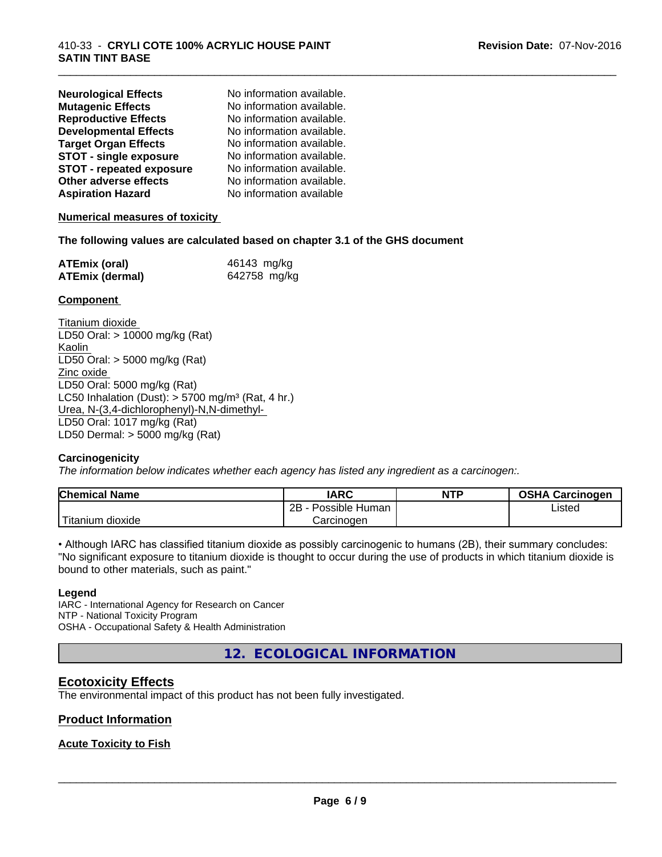| <b>Neurological Effects</b>     | No information available. |
|---------------------------------|---------------------------|
| <b>Mutagenic Effects</b>        | No information available. |
| <b>Reproductive Effects</b>     | No information available. |
| <b>Developmental Effects</b>    | No information available. |
| <b>Target Organ Effects</b>     | No information available. |
| <b>STOT - single exposure</b>   | No information available. |
| <b>STOT - repeated exposure</b> | No information available. |
| Other adverse effects           | No information available. |
| <b>Aspiration Hazard</b>        | No information available  |

#### **Numerical measures of toxicity**

#### **The following values are calculated based on chapter 3.1 of the GHS document**

| <b>ATEmix (oral)</b>   | 46143 mg/kg  |
|------------------------|--------------|
| <b>ATEmix (dermal)</b> | 642758 mg/kg |

#### **Component**

Titanium dioxide LD50 Oral: > 10000 mg/kg (Rat) Kaolin LD50 Oral: > 5000 mg/kg (Rat) Zinc oxide LD50 Oral: 5000 mg/kg (Rat) LC50 Inhalation (Dust):  $> 5700$  mg/m<sup>3</sup> (Rat, 4 hr.) Urea, N-(3,4-dichlorophenyl)-N,N-dimethyl- LD50 Oral: 1017 mg/kg (Rat) LD50 Dermal: > 5000 mg/kg (Rat)

#### **Carcinogenicity**

*The information below indicateswhether each agency has listed any ingredient as a carcinogen:.*

| <b>Chemical Name</b>     | <b>IARC</b>          | <b>NTP</b> | <b>OSHA Carcinogen</b> |
|--------------------------|----------------------|------------|------------------------|
|                          | 2B<br>Possible Human |            | Listed                 |
| .<br>dioxide<br>Titanium | Carcinogen           |            |                        |

\_\_\_\_\_\_\_\_\_\_\_\_\_\_\_\_\_\_\_\_\_\_\_\_\_\_\_\_\_\_\_\_\_\_\_\_\_\_\_\_\_\_\_\_\_\_\_\_\_\_\_\_\_\_\_\_\_\_\_\_\_\_\_\_\_\_\_\_\_\_\_\_\_\_\_\_\_\_\_\_\_\_\_\_\_\_\_\_\_\_\_\_\_

• Although IARC has classified titanium dioxide as possibly carcinogenic to humans (2B), their summary concludes: "No significant exposure to titanium dioxide is thought to occur during the use of products in which titanium dioxide is bound to other materials, such as paint."

#### **Legend**

IARC - International Agency for Research on Cancer NTP - National Toxicity Program OSHA - Occupational Safety & Health Administration

**12. ECOLOGICAL INFORMATION**

# **Ecotoxicity Effects**

The environmental impact of this product has not been fully investigated.

#### **Product Information**

## **Acute Toxicity to Fish**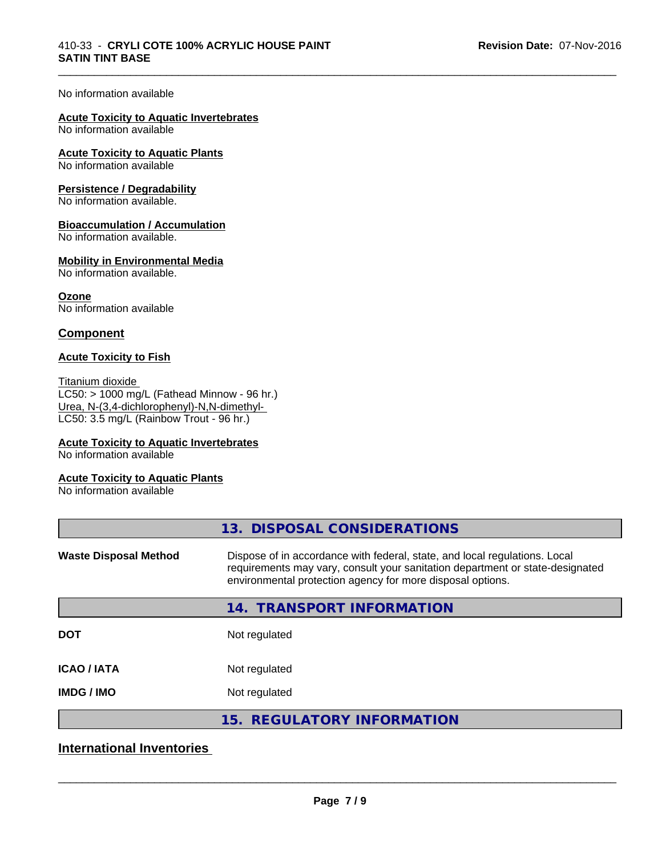\_\_\_\_\_\_\_\_\_\_\_\_\_\_\_\_\_\_\_\_\_\_\_\_\_\_\_\_\_\_\_\_\_\_\_\_\_\_\_\_\_\_\_\_\_\_\_\_\_\_\_\_\_\_\_\_\_\_\_\_\_\_\_\_\_\_\_\_\_\_\_\_\_\_\_\_\_\_\_\_\_\_\_\_\_\_\_\_\_\_\_\_\_

#### No information available

#### **Acute Toxicity to Aquatic Invertebrates**

No information available

#### **Acute Toxicity to Aquatic Plants**

No information available

#### **Persistence / Degradability**

No information available.

#### **Bioaccumulation / Accumulation**

No information available.

#### **Mobility in Environmental Media**

No information available.

**Ozone** No information available

#### **Component**

#### **Acute Toxicity to Fish**

Titanium dioxide  $\overline{\text{LC50:}}$  > 1000 mg/L (Fathead Minnow - 96 hr.) Urea, N-(3,4-dichlorophenyl)-N,N-dimethyl- LC50: 3.5 mg/L (Rainbow Trout - 96 hr.)

#### **Acute Toxicity to Aquatic Invertebrates**

No information available

#### **Acute Toxicity to Aquatic Plants**

No information available

|                              | 13. DISPOSAL CONSIDERATIONS                                                                                                                                                                                               |
|------------------------------|---------------------------------------------------------------------------------------------------------------------------------------------------------------------------------------------------------------------------|
| <b>Waste Disposal Method</b> | Dispose of in accordance with federal, state, and local regulations. Local<br>requirements may vary, consult your sanitation department or state-designated<br>environmental protection agency for more disposal options. |
|                              | <b>TRANSPORT INFORMATION</b><br>14.                                                                                                                                                                                       |
| <b>DOT</b>                   | Not regulated                                                                                                                                                                                                             |
| <b>ICAO/IATA</b>             | Not regulated                                                                                                                                                                                                             |
| <b>IMDG / IMO</b>            | Not regulated                                                                                                                                                                                                             |
|                              | 15. REGULATORY INFORMATION                                                                                                                                                                                                |
|                              |                                                                                                                                                                                                                           |

# **International Inventories**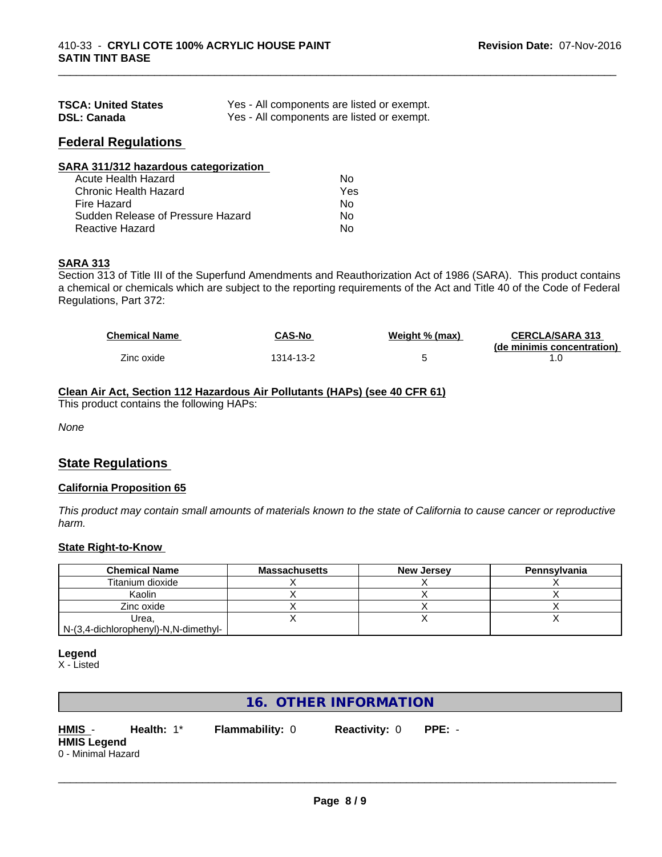| <b>TSCA: United States</b> | Yes - All components are listed or exempt. |
|----------------------------|--------------------------------------------|
| <b>DSL: Canada</b>         | Yes - All components are listed or exempt. |

#### **Federal Regulations**

| SARA 311/312 hazardous categorization |     |  |
|---------------------------------------|-----|--|
| Acute Health Hazard                   | Nο  |  |
| Chronic Health Hazard                 | Yes |  |
| Fire Hazard                           | Nο  |  |
| Sudden Release of Pressure Hazard     | Nο  |  |
| Reactive Hazard                       | No  |  |

## **SARA 313**

Section 313 of Title III of the Superfund Amendments and Reauthorization Act of 1986 (SARA). This product contains a chemical or chemicals which are subject to the reporting requirements of the Act and Title 40 of the Code of Federal Regulations, Part 372:

| <b>Chemical Name</b> | <b>CAS-No</b> | Weight % (max) | <b>CERCLA/SARA 313</b><br>(de minimis concentration) |
|----------------------|---------------|----------------|------------------------------------------------------|
| Zinc oxide           | 1314-13-2     |                |                                                      |

\_\_\_\_\_\_\_\_\_\_\_\_\_\_\_\_\_\_\_\_\_\_\_\_\_\_\_\_\_\_\_\_\_\_\_\_\_\_\_\_\_\_\_\_\_\_\_\_\_\_\_\_\_\_\_\_\_\_\_\_\_\_\_\_\_\_\_\_\_\_\_\_\_\_\_\_\_\_\_\_\_\_\_\_\_\_\_\_\_\_\_\_\_

## **Clean Air Act,Section 112 Hazardous Air Pollutants (HAPs) (see 40 CFR 61)**

This product contains the following HAPs:

*None*

# **State Regulations**

#### **California Proposition 65**

This product may contain small amounts of materials known to the state of California to cause cancer or reproductive *harm.*

#### **State Right-to-Know**

| <b>Chemical Name</b>                 | <b>Massachusetts</b> | <b>New Jersey</b> | Pennsylvania |
|--------------------------------------|----------------------|-------------------|--------------|
| Titanium dioxide                     |                      |                   |              |
| Kaolin                               |                      |                   |              |
| Zinc oxide                           |                      |                   |              |
| Urea.                                |                      |                   |              |
| N-(3,4-dichlorophenyl)-N,N-dimethyl- |                      |                   |              |

#### **Legend**

X - Listed

# **16. OTHER INFORMATION**

**HMIS** - **Health:** 1\* **Flammability:** 0 **Reactivity:** 0 **PPE:** - **HMIS Legend** 0 - Minimal Hazard